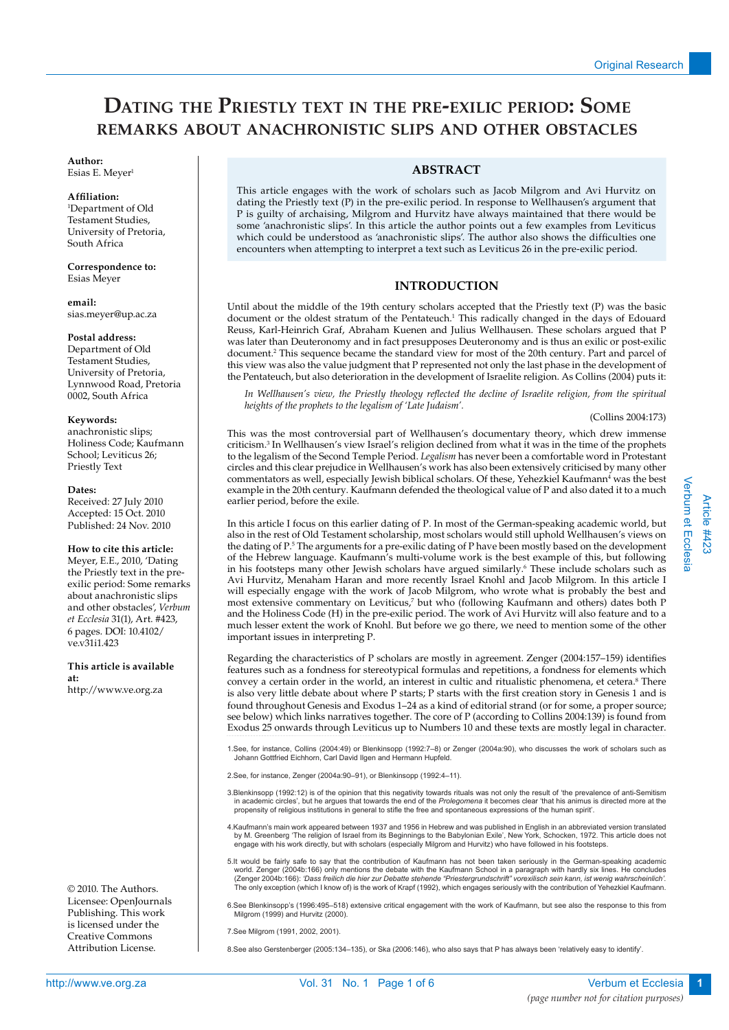# **Dating the Priestly text in the pre-exilic period: Some remarks about anachronistic slips and other obstacles**

#### **Author:**  Esias E. Meyer<sup>1</sup>

# **Affiliation:**

1 Department of Old Testament Studies, University of Pretoria, South Africa

**Correspondence to:**  Esias Meyer

**email:** sias.meyer@up.ac.za

# **Postal address:**

Department of Old Testament Studies, University of Pretoria, Lynnwood Road, Pretoria 0002, South Africa

# **Keywords:**

anachronistic slips; Holiness Code; Kaufmann School; Leviticus 26; Priestly Text

# **Dates:**

Received: 27 July 2010 Accepted: 15 Oct. 2010 Published: 24 Nov. 2010

# **How to cite this article:**

Meyer, E.E., 2010, 'Dating the Priestly text in the preexilic period: Some remarks about anachronistic slips and other obstacles', *Verbum et Ecclesia* 31(1), Art. #423, 6 pages. DOI: 10.4102/ ve.v31i1.423

# **This article is available at:**

http://www.ve.org.za

© 2010. The Authors. Licensee: OpenJournals Publishing. This work is licensed under the Creative Commons Attribution License.

# **ABSTRACT**

This article engages with the work of scholars such as Jacob Milgrom and Avi Hurvitz on dating the Priestly text (P) in the pre-exilic period. In response to Wellhausen's argument that P is guilty of archaising, Milgrom and Hurvitz have always maintained that there would be some 'anachronistic slips'. In this article the author points out a few examples from Leviticus which could be understood as 'anachronistic slips'. The author also shows the difficulties one encounters when attempting to interpret a text such as Leviticus 26 in the pre-exilic period.

# **INTRODUCTION**

Until about the middle of the 19th century scholars accepted that the Priestly text (P) was the basic document or the oldest stratum of the Pentateuch.<sup>1</sup> This radically changed in the days of Edouard Reuss, Karl-Heinrich Graf, Abraham Kuenen and Julius Wellhausen. These scholars argued that P was later than Deuteronomy and in fact presupposes Deuteronomy and is thus an exilic or post-exilic document.<sup>2</sup> This sequence became the standard view for most of the 20th century. Part and parcel of this view was also the value judgment that P represented not only the last phase in the development of the Pentateuch, but also deterioration in the development of Israelite religion. As Collins (2004) puts it:

*In Wellhausen's view, the Priestly theology reflected the decline of Israelite religion, from the spiritual heights of the prophets to the legalism of 'Late Judaism'.*

(Collins 2004:173)

This was the most controversial part of Wellhausen's documentary theory, which drew immense criticism.3 In Wellhausen's view Israel's religion declined from what it was in the time of the prophets to the legalism of the Second Temple Period. *Legalism* has never been a comfortable word in Protestant circles and this clear prejudice in Wellhausen's work has also been extensively criticised by many other commentators as well, especially Jewish biblical scholars. Of these, Yehezkiel Kaufmann<sup>4</sup> was the best example in the 20th century. Kaufmann defended the theological value of P and also dated it to a much earlier period, before the exile.

In this article I focus on this earlier dating of P. In most of the German-speaking academic world, but also in the rest of Old Testament scholarship, most scholars would still uphold Wellhausen's views on the dating of P.<sup>5</sup> The arguments for a pre-exilic dating of P have been mostly based on the development of the Hebrew language. Kaufmann's multi-volume work is the best example of this, but following in his footsteps many other Jewish scholars have argued similarly.<sup>6</sup> These include scholars such as Avi Hurvitz, Menaham Haran and more recently Israel Knohl and Jacob Milgrom. In this article I will especially engage with the work of Jacob Milgrom, who wrote what is probably the best and most extensive commentary on Leviticus,<sup>7</sup> but who (following Kaufmann and others) dates both P and the Holiness Code (H) in the pre-exilic period. The work of Avi Hurvitz will also feature and to a much lesser extent the work of Knohl. But before we go there, we need to mention some of the other important issues in interpreting P.

Regarding the characteristics of P scholars are mostly in agreement. Zenger (2004:157–159) identifies features such as a fondness for stereotypical formulas and repetitions, a fondness for elements which convey a certain order in the world, an interest in cultic and ritualistic phenomena, et cetera.<sup>8</sup> There is also very little debate about where P starts; P starts with the first creation story in Genesis 1 and is found throughout Genesis and Exodus 1–24 as a kind of editorial strand (or for some, a proper source; see below) which links narratives together. The core of P (according to Collins 2004:139) is found from Exodus 25 onwards through Leviticus up to Numbers 10 and these texts are mostly legal in character.

1.See, for instance, Collins (2004:49) or Blenkinsopp (1992:7–8) or Zenger (2004a:90), who discusses the work of scholars such as Johann Gottfried Eichhorn, Carl David Ilgen and Hermann Hupfeld.

2.See, for instance, Zenger (2004a:90–91), or Blenkinsopp (1992:4–11).

- 3.Blenkinsopp (1992:12) is of the opinion that this negativity towards rituals was not only the result of 'the prevalence of anti-Semitism in academic circles', but he argues that towards the end of the *Prolegomena* it becomes clear 'that his animus is directed more at the<br>propensity of religious institutions in general to stifle the free and spontaneous exp
- 4.Kaufmann's main work appeared between 1937 and 1956 in Hebrew and was published in English in an abbreviated version translated<br>by M. Greenberg 'The religion of Israel from its Beginnings to the Babylonian Exile', New Y
- 5.It would be fairly safe to say that the contribution of Kaufmann has not been taken seriously in the German-speaking academic<br>world. Zenger (2004b:166) only mentions the debate with the Kaufmann School in a paragraph wit (Zenger 2004b:166): *'Dass freilich die hier zur Debatte stehende "Priestergrundschrift" vorexilisch sein kann, ist wenig wahrscheinlich'.* The only exception (which I know of) is the work of Krapf (1992), which engages seriously with the contribution of Yehezkiel Kaufmann.
- 6.See Blenkinsopp's (1996:495–518) extensive critical engagement with the work of Kaufmann, but see also the response to this from Milgrom (1999) and Hurvitz (2000).
- 7.See Milgrom (1991, 2002, 2001).

8.See also Gerstenberger (2005:134–135), or Ska (2006:146), who also says that P has always been 'relatively easy to identify'.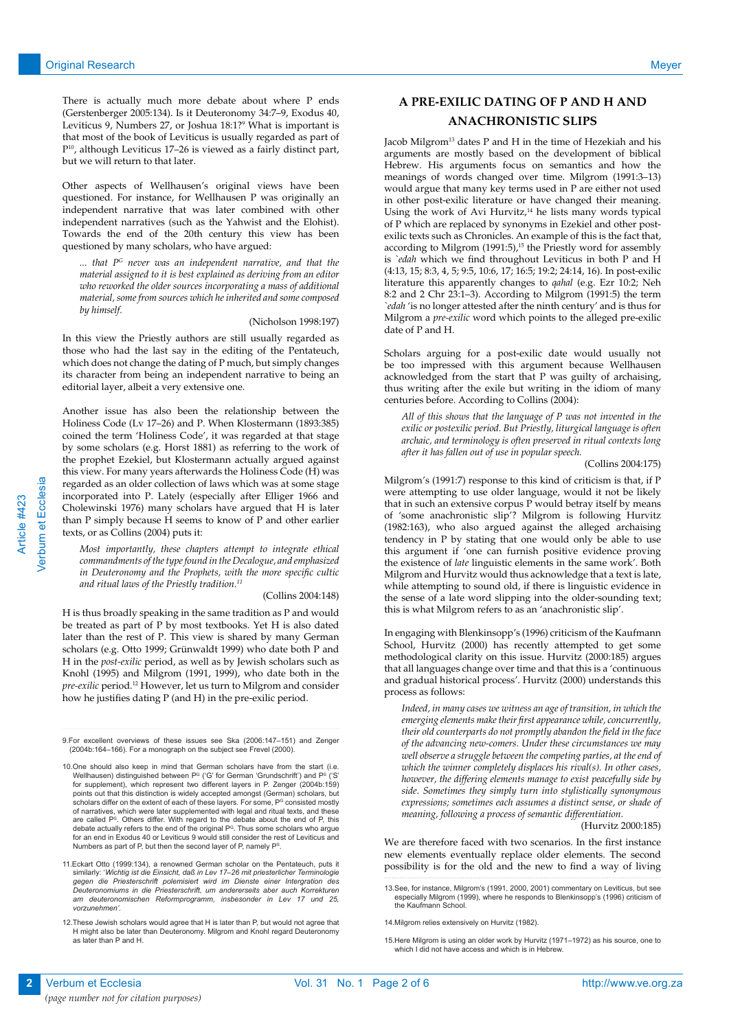There is actually much more debate about where P ends (Gerstenberger 2005:134). Is it Deuteronomy 34:7–9, Exodus 40, Leviticus 9, Numbers 27, or Joshua 18:1?9 What is important is that most of the book of Leviticus is usually regarded as part of P10, although Leviticus 17–26 is viewed as a fairly distinct part, but we will return to that later.

Other aspects of Wellhausen's original views have been questioned. For instance, for Wellhausen P was originally an independent narrative that was later combined with other independent narratives (such as the Yahwist and the Elohist). Towards the end of the 20th century this view has been questioned by many scholars, who have argued:

*... that PG never was an independent narrative, and that the material assigned to it is best explained as deriving from an editor who reworked the older sources incorporating a mass of additional material, some from sources which he inherited and some composed by himself.*

(Nicholson 1998:197)

In this view the Priestly authors are still usually regarded as those who had the last say in the editing of the Pentateuch, which does not change the dating of P much, but simply changes its character from being an independent narrative to being an editorial layer, albeit a very extensive one.

Another issue has also been the relationship between the Holiness Code (Lv 17–26) and P. When Klostermann (1893:385) coined the term 'Holiness Code', it was regarded at that stage by some scholars (e.g. Horst 1881) as referring to the work of the prophet Ezekiel, but Klostermann actually argued against this view. For many years afterwards the Holiness Code (H) was regarded as an older collection of laws which was at some stage incorporated into P. Lately (especially after Elliger 1966 and Cholewinski 1976) many scholars have argued that H is later than P simply because H seems to know of P and other earlier texts, or as Collins (2004) puts it:

*Most importantly, these chapters attempt to integrate ethical commandments of the type found in the Decalogue, and emphasized in Deuteronomy and the Prophets, with the more specific cultic and ritual laws of the Priestly tradition.11*

#### (Collins 2004:148)

H is thus broadly speaking in the same tradition as P and would be treated as part of P by most textbooks. Yet H is also dated later than the rest of P. This view is shared by many German scholars (e.g. Otto 1999; Grünwaldt 1999) who date both P and H in the *post-exilic* period, as well as by Jewish scholars such as Knohl (1995) and Milgrom (1991, 1999), who date both in the *pre-exilic* period.12 However, let us turn to Milgrom and consider how he justifies dating P (and H) in the pre-exilic period.

# **A PRE-EXILIC DATING OF P AND H AND ANACHRONISTIC SLIPS**

Jacob Milgrom<sup>13</sup> dates P and H in the time of Hezekiah and his arguments are mostly based on the development of biblical Hebrew. His arguments focus on semantics and how the meanings of words changed over time. Milgrom (1991:3–13) would argue that many key terms used in P are either not used in other post-exilic literature or have changed their meaning. Using the work of Avi Hurvitz, $14$  he lists many words typical of P which are replaced by synonyms in Ezekiel and other postexilic texts such as Chronicles. An example of this is the fact that, according to Milgrom  $(1991:5)$ ,<sup>15</sup> the Priestly word for assembly is *`edah* which we find throughout Leviticus in both P and H (4:13, 15; 8:3, 4, 5; 9:5, 10:6, 17; 16:5; 19:2; 24:14, 16). In post-exilic literature this apparently changes to *qahal* (e.g. Ezr 10:2; Neh 8:2 and 2 Chr 23:1–3). According to Milgrom (1991:5) the term *`edah* 'is no longer attested after the ninth century' and is thus for Milgrom a *pre-exilic* word which points to the alleged pre-exilic date of P and H.

Scholars arguing for a post-exilic date would usually not be too impressed with this argument because Wellhausen acknowledged from the start that P was guilty of archaising, thus writing after the exile but writing in the idiom of many centuries before. According to Collins (2004):

*All of this shows that the language of P was not invented in the exilic or postexilic period. But Priestly, liturgical language is often archaic, and terminology is often preserved in ritual contexts long after it has fallen out of use in popular speech.*

(Collins 2004:175)

Milgrom's (1991:7) response to this kind of criticism is that, if P were attempting to use older language, would it not be likely that in such an extensive corpus P would betray itself by means of 'some anachronistic slip'? Milgrom is following Hurvitz (1982:163), who also argued against the alleged archaising tendency in P by stating that one would only be able to use this argument if 'one can furnish positive evidence proving the existence of *late* linguistic elements in the same work'. Both Milgrom and Hurvitz would thus acknowledge that a text is late, while attempting to sound old, if there is linguistic evidence in the sense of a late word slipping into the older-sounding text; this is what Milgrom refers to as an 'anachronistic slip'.

In engaging with Blenkinsopp's (1996) criticism of the Kaufmann School, Hurvitz (2000) has recently attempted to get some methodological clarity on this issue. Hurvitz (2000:185) argues that all languages change over time and that this is a 'continuous and gradual historical process'. Hurvitz (2000) understands this process as follows:

*Indeed, in many cases we witness an age of transition, in which the emerging elements make their first appearance while, concurrently, their old counterparts do not promptly abandon the field in the face of the advancing new-comers. Under these circumstances we may well observe a struggle between the competing parties, at the end of which the winner completely displaces his rival(s). In other cases, however, the differing elements manage to exist peacefully side by side. Sometimes they simply turn into stylistically synonymous expressions; sometimes each assumes a distinct sense, or shade of meaning, following a process of semantic differentiation.*

(Hurvitz 2000:185)

We are therefore faced with two scenarios. In the first instance new elements eventually replace older elements. The second possibility is for the old and the new to find a way of living

Verbum et Ecclesia

<sup>9.</sup>For excellent overviews of these issues see Ska (2006:147–151) and Zenger (2004b:164–166). For a monograph on the subject see Frevel (2000).

<sup>10.</sup> One should also keep in mind that German scholars have from the start (i.e. Wellhausen) distinguished between P<sup>G</sup> ('G' for German 'Grundschrift') and P<sup>s</sup> ('S'<br>for supplement), which represent two different layers in P. Zenger (2004b:159) points out that this distinction is widely accepted amongst (German) scholars, but scholars differ on the extent of each of these layers. For some, P<sup>e</sup> consisted mostly<br>of narratives, which were later supplemented with legal and ritual texts, and these are called P<sup>s</sup>. Others differ. With regard to the debate about the end of P, this<br>debate actually refers to the end of the original P<sup>c</sup>. Thus some scholars who argue for an end in Exodus 40 or Leviticus 9 would still consider the rest of Leviticus and Numbers as part of P, but then the second layer of P, namely PS.

<sup>11.</sup>Eckart Otto (1999:134), a renowned German scholar on the Pentateuch, puts it similarly: '*Wichtig ist die Einsicht, daß in Lev 17–26 mit priesterlicher Terminologie*  gegen die Priesterschrift polemisiert wird im Dienste einer Intergration des<br>Deuteronomiums in die Priesterschrift, um andererseits aber auch Korrekturen<br>am deuteronomischen Reformprogramm, insbesonder in Lev 17 und 25, *vorzunehmen'.* 

<sup>12.</sup>These Jewish scholars would agree that H is later than P, but would not agree that H might also be later than Deuteronomy. Milgrom and Knohl regard Deuteronomy as later than P and H.

<sup>13.</sup>See, for instance, Milgrom's (1991, 2000, 2001) commentary on Leviticus, but see especially Milgrom (1999), where he responds to Blenkinsopp's (1996) criticism of the Kaufmann School.

<sup>14.</sup>Milgrom relies extensively on Hurvitz (1982).

<sup>15.</sup>Here Milgrom is using an older work by Hurvitz (1971–1972) as his source, one to which I did not have access and which is in Hebrew.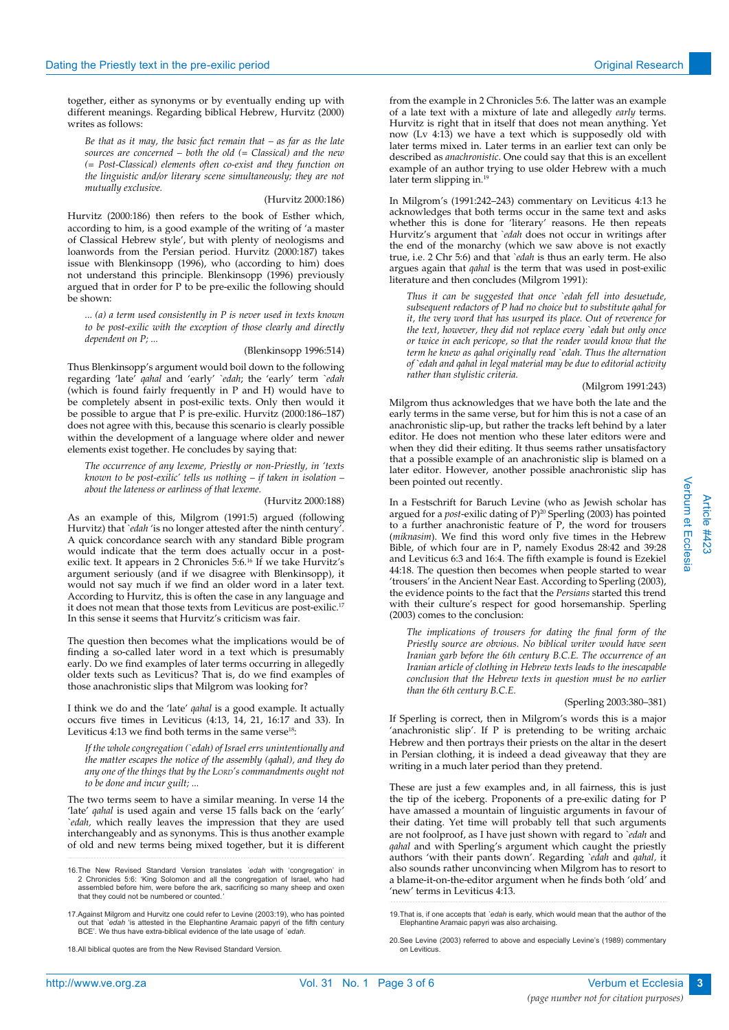together, either as synonyms or by eventually ending up with different meanings. Regarding biblical Hebrew, Hurvitz (2000) writes as follows:

*Be that as it may, the basic fact remain that – as far as the late sources are concerned – both the old (= Classical) and the new (= Post-Classical) elements often co-exist and they function on the linguistic and/or literary scene simultaneously; they are not mutually exclusive.*

#### (Hurvitz 2000:186)

Hurvitz (2000:186) then refers to the book of Esther which, according to him, is a good example of the writing of 'a master of Classical Hebrew style', but with plenty of neologisms and loanwords from the Persian period. Hurvitz (2000:187) takes issue with Blenkinsopp (1996), who (according to him) does not understand this principle. Blenkinsopp (1996) previously argued that in order for P to be pre-exilic the following should be shown:

*... (a) a term used consistently in P is never used in texts known to be post-exilic with the exception of those clearly and directly dependent on P; ...*

#### (Blenkinsopp 1996:514)

Thus Blenkinsopp's argument would boil down to the following regarding 'late' *qahal* and 'early' *`edah*; the 'early' term *`edah*  (which is found fairly frequently in P and H) would have to be completely absent in post-exilic texts. Only then would it be possible to argue that P is pre-exilic. Hurvitz (2000:186–187) does not agree with this, because this scenario is clearly possible within the development of a language where older and newer elements exist together. He concludes by saying that:

*The occurrence of any lexeme, Priestly or non-Priestly, in 'texts known to be post-exilic' tells us nothing – if taken in isolation – about the lateness or earliness of that lexeme.*

# (Hurvitz 2000:188)

As an example of this, Milgrom (1991:5) argued (following Hurvitz) that *`edah* 'is no longer attested after the ninth century'. A quick concordance search with any standard Bible program would indicate that the term does actually occur in a postexilic text. It appears in 2 Chronicles 5:6.<sup>16</sup> If we take Hurvitz's argument seriously (and if we disagree with Blenkinsopp), it would not say much if we find an older word in a later text. According to Hurvitz, this is often the case in any language and it does not mean that those texts from Leviticus are post-exilic.17 In this sense it seems that Hurvitz's criticism was fair.

The question then becomes what the implications would be of finding a so-called later word in a text which is presumably early. Do we find examples of later terms occurring in allegedly older texts such as Leviticus? That is, do we find examples of those anachronistic slips that Milgrom was looking for?

I think we do and the 'late' *qahal* is a good example. It actually occurs five times in Leviticus (4:13, 14, 21, 16:17 and 33). In Leviticus  $4:13$  we find both terms in the same verse<sup>18</sup>:

*If the whole congregation (`edah) of Israel errs unintentionally and the matter escapes the notice of the assembly (qahal), and they do any one of the things that by the LORD's commandments ought not to be done and incur guilt; ...* 

The two terms seem to have a similar meaning. In verse 14 the 'late' *qahal* is used again and verse 15 falls back on the 'early' *`edah,* which really leaves the impression that they are used interchangeably and as synonyms. This is thus another example of old and new terms being mixed together, but it is different

16.The New Revised Standard Version translates *`edah* with 'congregation' in 2 Chronicles 5:6: 'King Solomon and all the congregation of Israel, who had assembled before him, were before the ark, sacrificing so many sheep and oxen that they could not be numbered or counted.*'*

17.Against Milgrom and Hurvitz one could refer to Levine (2003:19), who has pointed ut that *`edah* 'is attested in the Elephantine Aramaic papyri of the fifth century BCE'. We thus have extra-biblical evidence of the late usage of *`edah.*

18.All biblical quotes are from the New Revised Standard Version.

from the example in 2 Chronicles 5:6. The latter was an example of a late text with a mixture of late and allegedly *early* terms. Hurvitz is right that in itself that does not mean anything. Yet now (Lv 4:13) we have a text which is supposedly old with later terms mixed in. Later terms in an earlier text can only be described as *anachronistic*. One could say that this is an excellent example of an author trying to use older Hebrew with a much later term slipping in.<sup>19</sup>

In Milgrom's (1991:242–243) commentary on Leviticus 4:13 he acknowledges that both terms occur in the same text and asks whether this is done for 'literary' reasons. He then repeats Hurvitz's argument that *`edah* does not occur in writings after the end of the monarchy (which we saw above is not exactly true, i.e. 2 Chr 5:6) and that *`edah* is thus an early term. He also argues again that *qahal* is the term that was used in post-exilic literature and then concludes (Milgrom 1991):

*Thus it can be suggested that once `edah fell into desuetude, subsequent redactors of P had no choice but to substitute qahal for it, the very word that has usurped its place. Out of reverence for the text, however, they did not replace every `edah but only once or twice in each pericope, so that the reader would know that the term he knew as qahal originally read `edah. Thus the alternation of `edah and qahal in legal material may be due to editorial activity rather than stylistic criteria.* 

#### (Milgrom 1991:243)

Milgrom thus acknowledges that we have both the late and the early terms in the same verse, but for him this is not a case of an anachronistic slip-up, but rather the tracks left behind by a later editor. He does not mention who these later editors were and when they did their editing. It thus seems rather unsatisfactory that a possible example of an anachronistic slip is blamed on a later editor. However, another possible anachronistic slip has been pointed out recently.

In a Festschrift for Baruch Levine (who as Jewish scholar has argued for a *post*-exilic dating of P)<sup>20</sup> Sperling (2003) has pointed to a further anachronistic feature of P, the word for trousers (*miknasim*). We find this word only five times in the Hebrew Bible, of which four are in P, namely Exodus 28:42 and 39:28 and Leviticus 6:3 and 16:4. The fifth example is found is Ezekiel 44:18. The question then becomes when people started to wear 'trousers' in the Ancient Near East. According to Sperling (2003), the evidence points to the fact that the *Persians* started this trend with their culture's respect for good horsemanship. Sperling (2003) comes to the conclusion:

*The implications of trousers for dating the final form of the Priestly source are obvious. No biblical writer would have seen Iranian garb before the 6th century B.C.E. The occurrence of an Iranian article of clothing in Hebrew texts leads to the inescapable conclusion that the Hebrew texts in question must be no earlier than the 6th century B.C.E.*

# (Sperling 2003:380–381)

If Sperling is correct, then in Milgrom's words this is a major 'anachronistic slip'. If P is pretending to be writing archaic Hebrew and then portrays their priests on the altar in the desert in Persian clothing, it is indeed a dead giveaway that they are writing in a much later period than they pretend.

These are just a few examples and, in all fairness, this is just the tip of the iceberg. Proponents of a pre-exilic dating for P have amassed a mountain of linguistic arguments in favour of their dating. Yet time will probably tell that such arguments are not foolproof, as I have just shown with regard to *`edah* and *qahal* and with Sperling's argument which caught the priestly authors 'with their pants down'. Regarding *`edah* and *qahal,* it also sounds rather unconvincing when Milgrom has to resort to a blame-it-on-the-editor argument when he finds both 'old' and 'new' terms in Leviticus 4:13.

<sup>19.</sup>That is, if one accepts that *`edah* is early, which would mean that the author of the Elephantine Aramaic papyri was also archaising.

<sup>20.</sup>See Levine (2003) referred to above and especially Levine's (1989) commentary on Leviticus.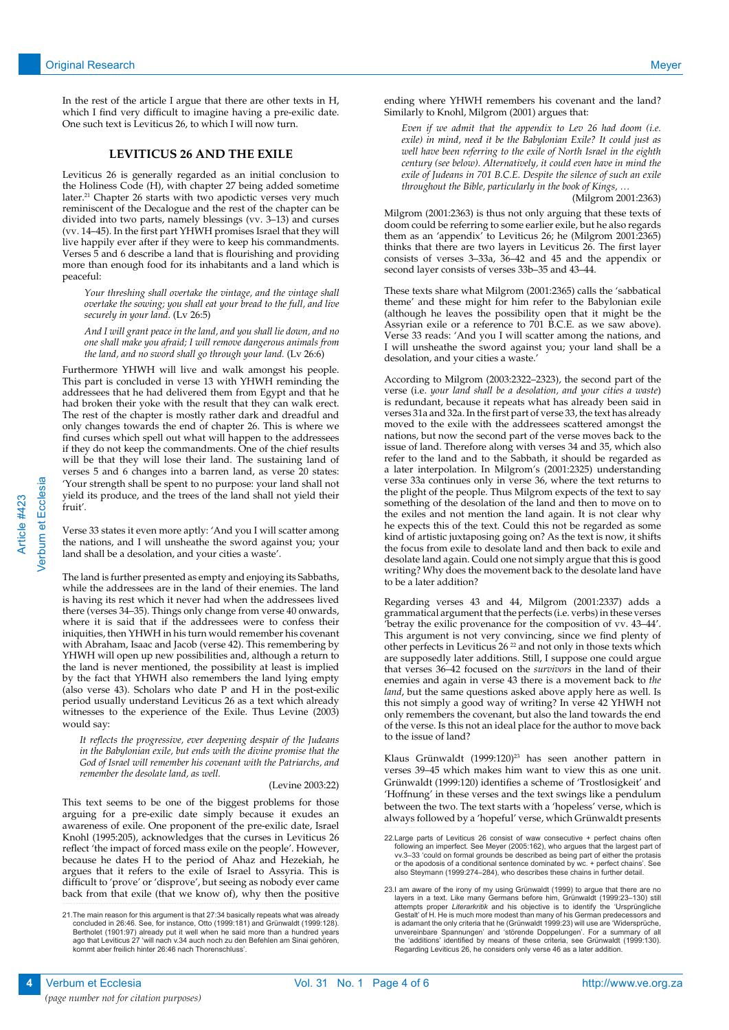In the rest of the article I argue that there are other texts in H, which I find very difficult to imagine having a pre-exilic date. One such text is Leviticus 26, to which I will now turn.

# **LEVITICUS 26 AND THE EXILE**

Leviticus 26 is generally regarded as an initial conclusion to the Holiness Code (H), with chapter 27 being added sometime later.<sup>21</sup> Chapter 26 starts with two apodictic verses very much reminiscent of the Decalogue and the rest of the chapter can be divided into two parts, namely blessings (vv. 3–13) and curses (vv. 14–45). In the first part YHWH promises Israel that they will live happily ever after if they were to keep his commandments. Verses 5 and 6 describe a land that is flourishing and providing more than enough food for its inhabitants and a land which is peaceful:

*Your threshing shall overtake the vintage, and the vintage shall overtake the sowing; you shall eat your bread to the full, and live securely in your land.* (Lv 26:5)

*And I will grant peace in the land, and you shall lie down, and no one shall make you afraid; I will remove dangerous animals from the land, and no sword shall go through your land.* (Lv 26:6)

Furthermore YHWH will live and walk amongst his people. This part is concluded in verse 13 with YHWH reminding the addressees that he had delivered them from Egypt and that he had broken their yoke with the result that they can walk erect. The rest of the chapter is mostly rather dark and dreadful and only changes towards the end of chapter 26. This is where we find curses which spell out what will happen to the addressees if they do not keep the commandments. One of the chief results will be that they will lose their land. The sustaining land of verses 5 and 6 changes into a barren land, as verse 20 states: 'Your strength shall be spent to no purpose: your land shall not yield its produce, and the trees of the land shall not yield their fruit'*.* 

Verse 33 states it even more aptly: 'And you I will scatter among the nations, and I will unsheathe the sword against you; your land shall be a desolation, and your cities a waste'.

The land is further presented as empty and enjoying its Sabbaths, while the addressees are in the land of their enemies. The land is having its rest which it never had when the addressees lived there (verses 34–35). Things only change from verse 40 onwards, where it is said that if the addressees were to confess their iniquities, then YHWH in his turn would remember his covenant with Abraham, Isaac and Jacob (verse 42). This remembering by YHWH will open up new possibilities and, although a return to the land is never mentioned, the possibility at least is implied by the fact that YHWH also remembers the land lying empty (also verse 43). Scholars who date P and H in the post-exilic period usually understand Leviticus 26 as a text which already witnesses to the experience of the Exile. Thus Levine (2003) would say:

*It reflects the progressive, ever deepening despair of the Judeans in the Babylonian exile, but ends with the divine promise that the God of Israel will remember his covenant with the Patriarchs, and remember the desolate land, as well.*

#### (Levine 2003:22)

This text seems to be one of the biggest problems for those arguing for a pre-exilic date simply because it exudes an awareness of exile. One proponent of the pre-exilic date, Israel Knohl (1995:205), acknowledges that the curses in Leviticus 26 reflect 'the impact of forced mass exile on the people'. However, because he dates H to the period of Ahaz and Hezekiah, he argues that it refers to the exile of Israel to Assyria. This is difficult to 'prove' or 'disprove', but seeing as nobody ever came back from that exile (that we know of), why then the positive

ending where YHWH remembers his covenant and the land? Similarly to Knohl, Milgrom (2001) argues that:

*Even if we admit that the appendix to Lev 26 had doom (i.e. exile) in mind, need it be the Babylonian Exile? It could just as well have been referring to the exile of North Israel in the eighth century (see below). Alternatively, it could even have in mind the exile of Judeans in 701 B.C.E. Despite the silence of such an exile throughout the Bible, particularly in the book of Kings, …*

# (Milgrom 2001:2363)

Milgrom (2001:2363) is thus not only arguing that these texts of doom could be referring to some earlier exile, but he also regards them as an 'appendix' to Leviticus 26; he (Milgrom 2001:2365) thinks that there are two layers in Leviticus 26. The first layer consists of verses 3–33a, 36–42 and 45 and the appendix or second layer consists of verses 33b–35 and 43–44.

These texts share what Milgrom (2001:2365) calls the 'sabbatical theme' and these might for him refer to the Babylonian exile (although he leaves the possibility open that it might be the Assyrian exile or a reference to 701 B.C.E. as we saw above). Verse 33 reads: 'And you I will scatter among the nations, and I will unsheathe the sword against you; your land shall be a desolation, and your cities a waste.'

According to Milgrom (2003:2322–2323), the second part of the verse (i.e. *your land shall be a desolation, and your cities a waste*) is redundant, because it repeats what has already been said in verses 31a and 32a. In the first part of verse 33, the text has already moved to the exile with the addressees scattered amongst the nations, but now the second part of the verse moves back to the issue of land. Therefore along with verses 34 and 35, which also refer to the land and to the Sabbath, it should be regarded as a later interpolation. In Milgrom's (2001:2325) understanding verse 33a continues only in verse 36, where the text returns to the plight of the people. Thus Milgrom expects of the text to say something of the desolation of the land and then to move on to the exiles and not mention the land again. It is not clear why he expects this of the text. Could this not be regarded as some kind of artistic juxtaposing going on? As the text is now, it shifts the focus from exile to desolate land and then back to exile and desolate land again. Could one not simply argue that this is good writing? Why does the movement back to the desolate land have to be a later addition?

Regarding verses 43 and 44, Milgrom (2001:2337) adds a grammatical argument that the perfects (i.e. verbs) in these verses 'betray the exilic provenance for the composition of vv. 43–44'. This argument is not very convincing, since we find plenty of other perfects in Leviticus 26<sup>22</sup> and not only in those texts which are supposedly later additions. Still, I suppose one could argue that verses 36–42 focused on the *survivors* in the land of their enemies and again in verse 43 there is a movement back to *the land*, but the same questions asked above apply here as well. Is this not simply a good way of writing? In verse 42 YHWH not only remembers the covenant, but also the land towards the end of the verse. Is this not an ideal place for the author to move back to the issue of land?

Klaus Grünwaldt (1999:120)<sup>23</sup> has seen another pattern in verses 39–45 which makes him want to view this as one unit. Grünwaldt (1999:120) identifies a scheme of 'Trostlosigkeit' and 'Hoffnung' in these verses and the text swings like a pendulum between the two. The text starts with a 'hopeless' verse, which is always followed by a 'hopeful' verse, which Grünwaldt presents

Verbum et Ecclesia

<sup>21.</sup> The main reason for this argument is that 27:34 basically repeats what was already<br>concluded in 26:46. See, for instance, Otto (1993:181) and Grünwaldt (1993:128).<br>Bertholet (1901:97) already put it well when he said m kommt aber freilich hinter 26:46 nach Thorenschluss'.

<sup>22.</sup>Large parts of Leviticus 26 consist of waw consecutive + perfect chains often following an imperfect. See Meyer (2005:162), who argues that the largest part of vv.3–33 'could on formal grounds be described as being part of either the protasis or the apodosis of a conditional sentence dominated by wc. + perfect chains'. See also Steymann (1999:274–284), who describes these chains in further detail.

<sup>23.</sup>I am aware of the irony of my using Grünwaldt (1999) to argue that there are no layers in a text. Like many Germans before him, Grünwaldt (1999:23–130) still attempts proper *Literarkritik* and his objective is to identify the 'Ursprüngliche Gestalt' of H. He is much more modest than many of his German predecessors and is adamant the only criteria that he (Grünwaldt 1999:23) will use are 'Widersprüche, unvereinbare Spannungen' and 'störende Doppelungen'. For a summary of all the 'additions' identified by means of these criteria, see Grünwaldt (1999:130). Regarding Leviticus 26, he considers only verse 46 as a later addition.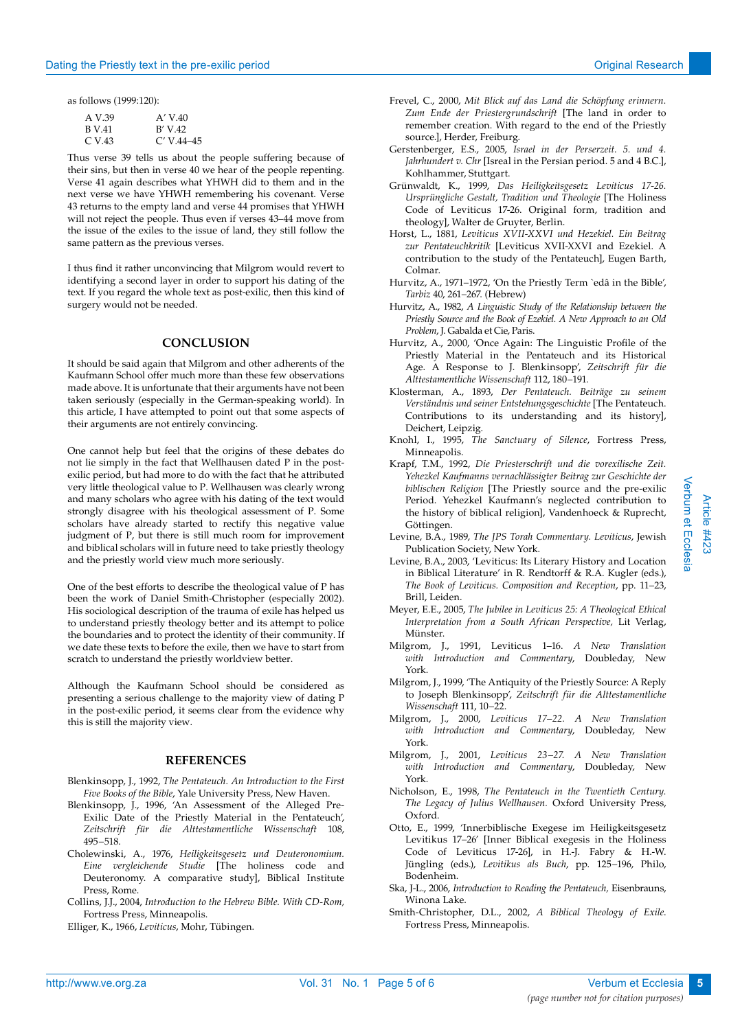as follows (1999:120):

| A V.39 | A' V.40      |
|--------|--------------|
| B V 41 | B' V.42      |
| C V 43 | $C'$ V.44–45 |

Thus verse 39 tells us about the people suffering because of their sins, but then in verse 40 we hear of the people repenting. Verse 41 again describes what YHWH did to them and in the next verse we have YHWH remembering his covenant. Verse 43 returns to the empty land and verse 44 promises that YHWH will not reject the people. Thus even if verses 43–44 move from the issue of the exiles to the issue of land, they still follow the same pattern as the previous verses.

I thus find it rather unconvincing that Milgrom would revert to identifying a second layer in order to support his dating of the text. If you regard the whole text as post-exilic, then this kind of surgery would not be needed.

# **CONCLUSION**

It should be said again that Milgrom and other adherents of the Kaufmann School offer much more than these few observations made above. It is unfortunate that their arguments have not been taken seriously (especially in the German-speaking world). In this article, I have attempted to point out that some aspects of their arguments are not entirely convincing.

One cannot help but feel that the origins of these debates do not lie simply in the fact that Wellhausen dated P in the postexilic period, but had more to do with the fact that he attributed very little theological value to P. Wellhausen was clearly wrong and many scholars who agree with his dating of the text would strongly disagree with his theological assessment of P. Some scholars have already started to rectify this negative value judgment of P, but there is still much room for improvement and biblical scholars will in future need to take priestly theology and the priestly world view much more seriously.

One of the best efforts to describe the theological value of P has been the work of Daniel Smith-Christopher (especially 2002). His sociological description of the trauma of exile has helped us to understand priestly theology better and its attempt to police the boundaries and to protect the identity of their community. If we date these texts to before the exile, then we have to start from scratch to understand the priestly worldview better.

Although the Kaufmann School should be considered as presenting a serious challenge to the majority view of dating P in the post-exilic period, it seems clear from the evidence why this is still the majority view.

# **REFERENCES**

- Blenkinsopp, J., 1992, *The Pentateuch. An Introduction to the First Five Books of the Bible*, Yale University Press, New Haven.
- Blenkinsopp, J., 1996, 'An Assessment of the Alleged Pre-Exilic Date of the Priestly Material in the Pentateuch', *Zeitschrift für die Alttestamentliche Wissenschaft* 108, 495−518.
- Cholewinski, A., 1976, *Heiligkeitsgesetz und Deuteronomium. Eine vergleichende Studie* [The holiness code and Deuteronomy. A comparative study], Biblical Institute Press, Rome.
- Collins, J.J., 2004, *Introduction to the Hebrew Bible. With CD-Rom,* Fortress Press, Minneapolis.

Elliger, K., 1966, *Leviticus*, Mohr, Tübingen.

- Frevel, C., 2000, *Mit Blick auf das Land die Schöpfung erinnern. Zum Ende der Priestergrundschrift* [The land in order to remember creation. With regard to the end of the Priestly source.], Herder, Freiburg.
- Gerstenberger, E.S., 2005, *Israel in der Perserzeit. 5. und 4. Jahrhundert v. Chr* [Isreal in the Persian period. 5 and 4 B.C.], Kohlhammer, Stuttgart.
- Grünwaldt, K., 1999, *Das Heiligkeitsgesetz Leviticus 17-26. Ursprüngliche Gestalt, Tradition und Theologie* [The Holiness Code of Leviticus 17-26. Original form, tradition and theology], Walter de Gruyter, Berlin.
- Horst, L., 1881, *Leviticus XVII-XXVI und Hezekiel. Ein Beitrag zur Pentateuchkritik* [Leviticus XVII-XXVI and Ezekiel. A contribution to the study of the Pentateuch], Eugen Barth, Colmar.
- Hurvitz, A., 1971−1972, 'On the Priestly Term `edâ in the Bible', *Tarbiz* 40, 261−267. (Hebrew)
- Hurvitz, A., 1982, *A Linguistic Study of the Relationship between the Priestly Source and the Book of Ezekiel. A New Approach to an Old Problem*, J. Gabalda et Cie, Paris.
- Hurvitz, A., 2000, 'Once Again: The Linguistic Profile of the Priestly Material in the Pentateuch and its Historical Age. A Response to J. Blenkinsopp', *Zeitschrift für die Alttestamentliche Wissenschaft* 112, 180−191*.*
- Klosterman, A., 1893, *Der Pentateuch. Beiträge zu seinem Verständnis und seiner Entstehungsgeschichte* [The Pentateuch. Contributions to its understanding and its history], Deichert, Leipzig.
- Knohl, I., 1995, *The Sanctuary of Silence*, Fortress Press, Minneapolis.
- Krapf, T.M., 1992, *Die Priesterschrift und die vorexilische Zeit. Yehezkel Kaufmanns vernachlässigter Beitrag zur Geschichte der biblischen Religion* [The Priestly source and the pre-exilic Period. Yehezkel Kaufmann's neglected contribution to the history of biblical religion], Vandenhoeck & Ruprecht, Göttingen.
- Levine, B.A., 1989, *The JPS Torah Commentary. Leviticus*, Jewish Publication Society, New York.
- Levine, B.A., 2003, 'Leviticus: Its Literary History and Location in Biblical Literature' in R. Rendtorff & R.A. Kugler (eds*.*), *The Book of Leviticus. Composition and Reception*, pp. 11−23, Brill, Leiden.
- Meyer, E.E., 2005, *The Jubilee in Leviticus 25: A Theological Ethical Interpretation from a South African Perspective,* Lit Verlag, Münster.
- Milgrom, J., 1991, Leviticus 1–16. *A New Translation with Introduction and Commentary*, Doubleday, New York.
- Milgrom, J., 1999, 'The Antiquity of the Priestly Source: A Reply to Joseph Blenkinsopp', *Zeitschrift für die Alttestamentliche Wissenschaft* 111, 10−22.
- Milgrom, J., 2000, *Leviticus 17−22. A New Translation with Introduction and Commentary*, Doubleday, New York.
- Milgrom, J., 2001, *Leviticus 23−27*. *A New Translation with Introduction and Commentary*, Doubleday, New York.
- Nicholson, E., 1998, *The Pentateuch in the Twentieth Century. The Legacy of Julius Wellhausen.* Oxford University Press, Oxford.
- Otto, E., 1999, 'Innerbiblische Exegese im Heiligkeitsgesetz Levitikus 17−26' [Inner Biblical exegesis in the Holiness Code of Leviticus 17-26], in H.-J. Fabry & H.-W. Jüngling (eds.), *Levitikus als Buch*, pp. 125−196, Philo, Bodenheim.
- Ska, J-L., 2006, *Introduction to Reading the Pentateuch,* Eisenbrauns, Winona Lake.
- Smith-Christopher, D.L., 2002, *A Biblical Theology of Exile*. Fortress Press, Minneapolis.

Verbum et Ecclesia